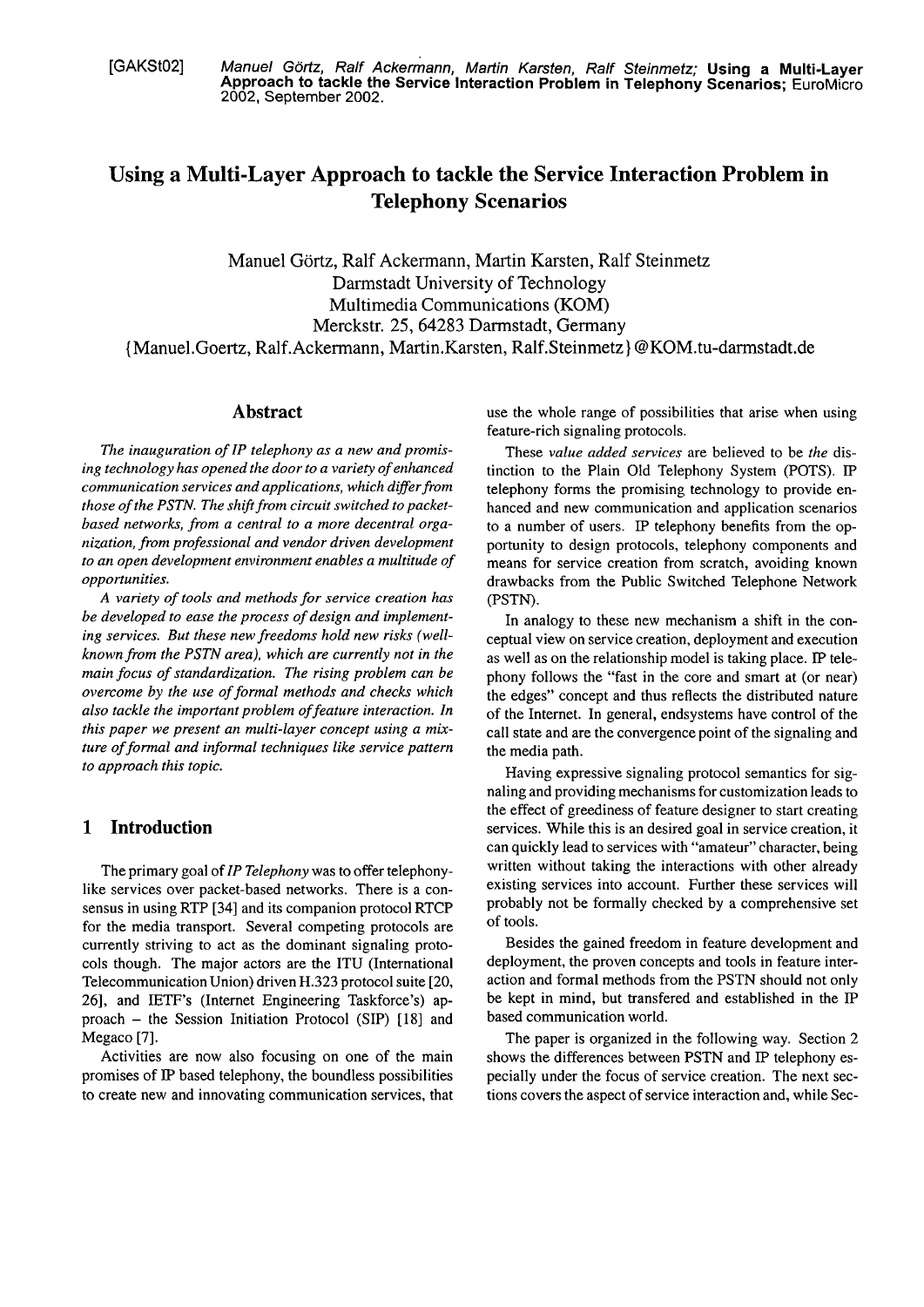[GAKSt02] Manuel Görtz, Ralf Ackermann, Martin Karsten, Ralf Steinmetz; Using a Multi-Layer **Approach to tackle the Service lnteraction Problem in Telephony Scenarios;** EuroMicro 2002, September 2002.

# **Using a Multi-Layer Approach to tackle the Service Interaction Problem in Telephony Scenarios**

Manuel Görtz, Ralf Ackermann, Martin Karsten, Ralf Steinmetz Darmstadt University of Technology Multimedia Communications (KOM) Merckstr. 25,64283 Darmstadt, Germany {Manuel.Goertz, Ralf.Ackermann, Martin.Karsten, Ralf.Steinmetz) @KOM.tu-darmstadt.de

### **Abstract**

*The inauguration of IP telephony as a new und promising technology has opened the door to a variety of enhanced communication services und applications, which differ from those of the PSTN. The shift from circuit switched to packetbased networks, from a central to a more decentral organization, fmm professional und vendor driven development to an Open development environment enables a multitude of opportunities.* 

*A variety of tools und methods for service creation has be developed to ease the process of design und implementing services. But these new freedoms hold new risks (wellknownfrom the PSTN area), which are currently not in the main focus of standardization. The rising problem can be overcome by the use of formal methods und checks which also tackle the important problem of feature interaction. In this paper we present an multi-layer concept using a mixture of formal and informal techniques like service pattern to approach this topic.* 

# **1 Introduction**

The primary goal of *IP Telephony* was to offer telephonylike services over packet-based networks. There is a consensus in using RTP [34] and its companion protocol RTCP for the media transport. Several competing protocols are currently striving to act as the dominant signaling protocols though. The major actors are the ITU (International Telecommunication Union) driven H.323 protocol suite [20, 26], and IETF's (Internet Engineering Taskforce's) approach - the Session Initiation Protocol (SIP) [18] and Megaco [7].

Activities are now also focusing on one of the main promises of IP based telephony, the boundless possibilities to create new and innovating communication services, that use the whole range of possibilities that arise when using feature-rich signaling protocols.

These *value added services* are believed to be *the* distinction to the Plain Old Telephony System (POTS). IP teiephony forms the promising technology to provide enhanced and new communication and application scenarios to a number of users. IP telephony benefits from the opportunity to design protocols, telephony components and means for service creation from scratch, avoiding known drawbacks from the Public Switched Telephone Network (PSTN).

In analogy to these new mechanism a shift in the conceptual view on service creation, deployment and execution as well as on the relationship model is taking place. IP telephony follows the "fast in the core and smart at (or near) the edges" concept and thus reflects the distributed nature of the Internet. In general, endsystems have control of the call state and are the convergence point of the signaling and the media path.

Having expressive signaling protocol semantics for signaling and providing mechanisms for customization leads to the effect of greediness of feature designer to start creating services. While this is an desired goal in service creation, it can quickly lead to services with "amateur" character, being written without taking the interactions with other already existing services into account. Further these services will probably not be formally checked by a comprehensive set of tools.

Besides the gained freedom in feature development and deployment, the proven concepts and tools in feature interaction and formal methods from the PSTN should not only be kept in mind, but transfered and established in the IP based communication world.

The paper is organized in the following way. Section 2 shows the differences between PSTN and IP telephony especially under the focus of service creation. The next sections Covers the aspect of service interaction and, while Sec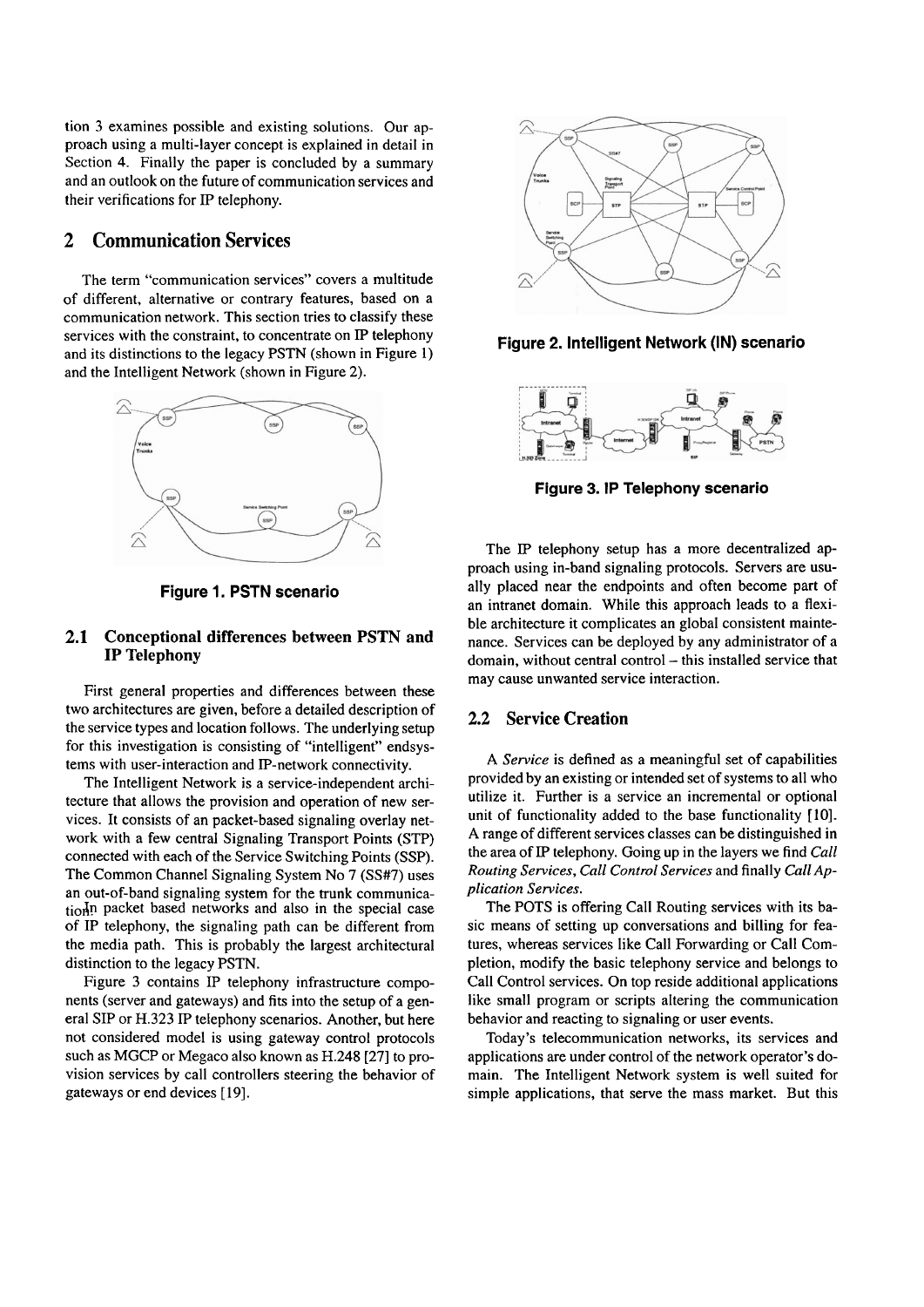tion 3 examines possible and existing solutions. Our approach using a multi-layer concept is explained in detail in Section 4. Finally the paper is concluded by a summary and an outlook on the future of communication services and their verifications for IP telephony.

### **2 Communication Services**

The term "communication services" Covers a multitude of different, alternative or contrary features, based on a communication network. This section tries to classify these services with the constraint, to concentrate on IP telephony and its distinctions to the legacy PSTN (shown in Figure 1) and the Intelligent Network (shown in Figure 2).



**Figure 1. PSTN scenario** 

### **2.1 Conceptional differences between PSTN and IP Telephony**

First general properties and differences between these two architectures are given, before a detailed description of the service types and location follows. The underlying setup for this investigation is consisting of "intelligent" endsystems with user-interaction and IP-network connectivity.

The Intelligent Network is a service-independent architecture that allows the provision and operation of new services. It consists of an packet-based signaling overlay network with a few central Signaling Transport Points (STP) connected with each of the Service Switching Points (SSP). The Common Channel Signaling System No 7 (SS#7) uses an out-of-band signaling system for the trunk communication<sup>I</sup>n packet based networks and also in the special case of IP telephony, the signaling path can be different from the media path. This is probably the largest architectural distinction to the legacy PSTN.

Figure 3 contains iP telephony infrastructure components (Server and gateways) and fits into the setup of a general SIP or H.323 iP telephony scenarios. Another, but here not considered model is using gateway control protocols such as MGCP or Megaco also known as H.248 [27] to provision services by call controllers steering the behavior of gateways or end devices **[19].** 



**Figure 2. Intelligent Network (IN) scenario** 



**Figure 3. IP Telephony scenario** 

The IP telephony setup has a more decentralized approach using in-band signaling protocols. Servers are usually placed near the endpoints and often become part of an intranet domain. While this approach leads to a flexible architecture it complicates an global consistent maintenance. Services can be deployed by any administrator of a domain, without central control - this installed service that may cause unwanted service interaction.

#### **2.2 Service Creation**

A *Service* is defined as a meaningful set of capabilities provided by an existing or intended Set of systems to all who utilize it. Further is a service an incremental or optional unit of functionality added to the base functionality [10]. A range of different services classes can be distinguished in the area of **IP** telephony. Going up in the layers we find *Ca11 Routing Services, Ca11 Control Services* and finally *Ca11* **Ap***plication Services.* 

The POTS is offering Call Routing services with its basic means of setting up conversations and billing for features, whereas services like Call Forwarding or Ca11 Completion, modify the basic telephony service and belongs to Call Control services. On top reside additional applications like small program or scripts altering the communication behavior and reacting to signaling or user events.

Today's telecommunication networks, its services and applications are under control of the network operator's domain. The Intelligent Network system is well suited for simple applications, that serve the mass market. But this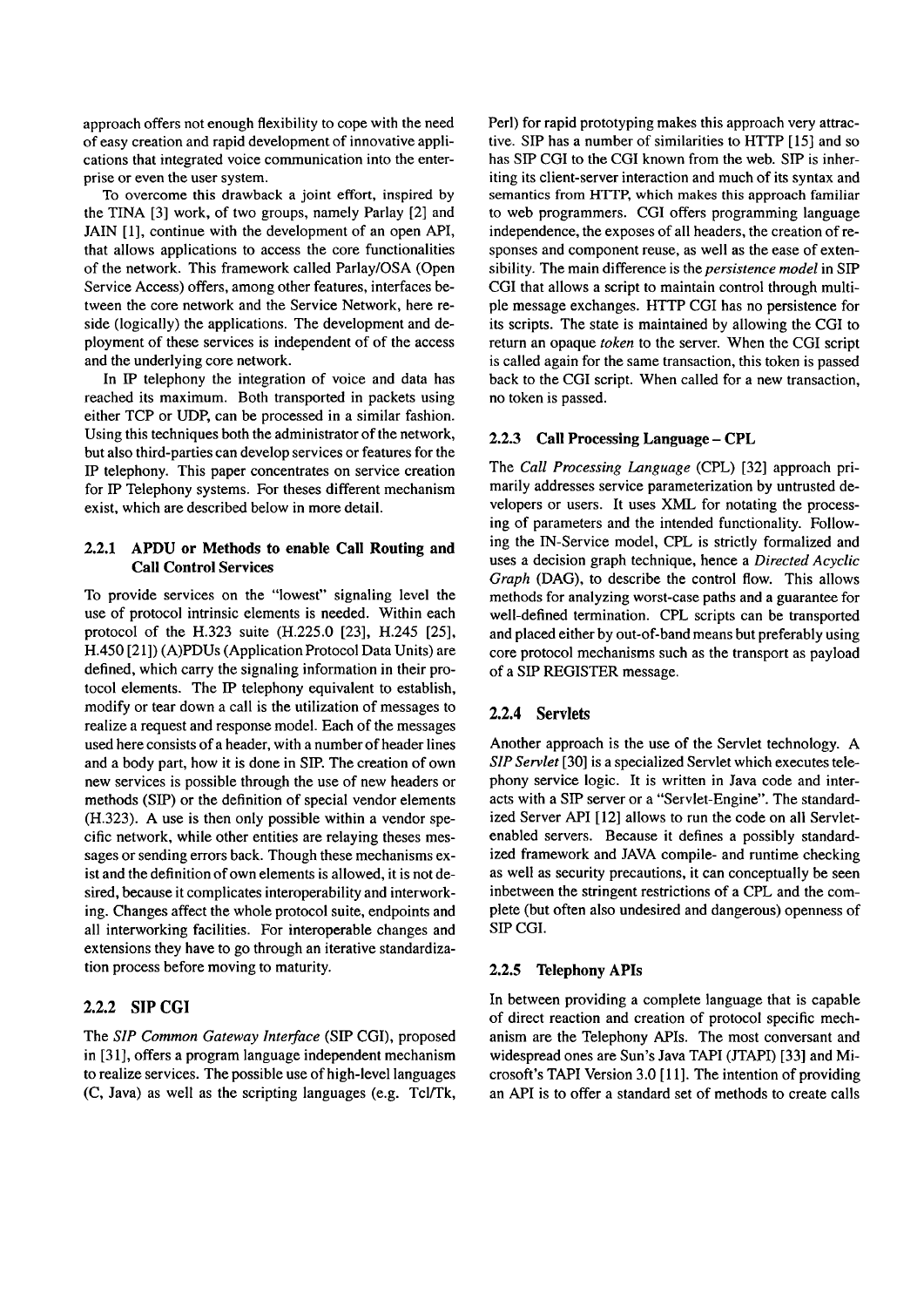approach offers not enough flexibility to cope with the need of easy creation and rapid development of innovative applications that integrated voice communication into the enterprise or even the User System.

To overcome this drawback a joint effort, inspired by the TINA [3] work, of two groups, namely Parlay [2] and JAIN [1], continue with the development of an open API, that allows applications to access the core functionalities of the network. This framework called Parlay/OSA (Open Service Access) offers, among other features, interfaces between the core network and the Service Network, here reside (logically) the applications. The development and deployment of these services is independent of of the access and the underlying core network.

In IP telephony the integration of voice and data has reached its maximum. Both transported in packets using either TCP or UDP, can be processed in a similar fashion. Using this techniques both the administrator of the network, but also third-parties can develop services or features for the IP telephony. This paper concentrates on service creation for IP Telephony systems. For theses different mechanism exist, which are described below in more detail.

### **2.2.1 APDU or Methods to enable Ca11 Routing and Call Control Sewices**

To provide services on the "lowest" signaling level the use of protocol intrinsic elements is needed. Within each protocol of the H.323 suite (H.225.0 [23], H.245 [25], H.450 [21]) (A)PDUs (Application Protocol Data Units) are defined, which carry the signaling information in their protocol elements. The IP telephony equivalent to establish, modify or tear down a call is the utilization of messages to realize a request and response model. Each of the messages used here consists of a header, with a number of header lines and a body part, how it is done in SIP. The creation of own new services is possible through the use of new headers or methods (SIP) or the definition of special vendor elements (H.323). A use is then only possible within a vendor specific network, while other entities are relaying theses messages or sending errors back. Though these mechanisms exist and the definition of own elements is allowed, it is not desired, because it complicates interoperability and interworking. Changes affect the whole protocol suite, endpoints and all interworking facilities. For interoperable changes and extensions they have to go through an iterative standardization process before moving to maturity.

# **2.2.2 SIP CGI**

The *SIP Common Gateway Interface* (SIP CGI), proposed in [31], offers a program language independent mechanism to realize services. The possible use of high-level languages (C, Java) as well as the scripting languages (e.g. Tcl/Tk, Perl) for rapid prototyping makes this approach very attractive. SIP has a number of similarities to HTTP [15] and so has SIP CGI to the CGI known from the web. SIP is inheriting its client-server interaction and much of **its** Syntax and semantics from HTTP, which makes this approach familiar to web programmers. CGI offers programming language independence, the exposes of all headers, the creation of responses and component reuse, as well as the ease of extensibility. The main difference is the *persistence model* in SIP CGI that allows a script to maintain control through multiple message exchanges. HTTP CGI has no persistence for its scripts. The state is maintained by allowing the CGI to return an opaque *token* to the server. When the CGI script is called again for the Same transaction, this token is passed back to the CGI script. When called for a new transaction, no token is passed.

# 2.2.3 Call Processing Language - CPL

The *Ca11 Processing Language* (CPL) [32] approach primarily addresses service parameterization by untrusted developers or users. It uses XML for notating the processing of parameters and the intended functionality. Following the IN-Service model, CPL is strictly formalized and uses a decision graph technique, hence a *Directed Acyclic Graph* (DAG), to describe the control flow. This allows methods for analyzing worst-case paths and a guarantee for well-defined termination. CPL scripts can be transported and placed either by out-of-band means but preferably using core protocol mechanisms such as the transport as payload of a SIP REGISTER message.

# 2.2.4 Servlets

Another approach is the use of the Servlet technology. A *SIP Servlet* [30] is a specialized Servlet which executes telephony service logic. It is written in Java code and interacts with a SIP server or a "Servlet-Engine". The standardized Server API [12] allows to run the code on all Servletenabled Servers. Because it defines a possibly standardized framework and JAVA compile- and runtime checking as well as security precautions, it can conceptually be seen inbetween the stringent restrictions of a CPL and the complete (but often also undesired and dangerous) openness of SIP CGI.

# **2.2.5 Telephony APIs**

In between providing a complete language that is capable of direct reaction and creation of protocol specific mechanism are the Telephony APIs. The most conversant and widespread ones are Sun's Java TAPI (JTAPI) [33] and Microsoft's TAPI Version 3.0 [ll]. The intention of providing an API is to offer a standard set of methods to create calls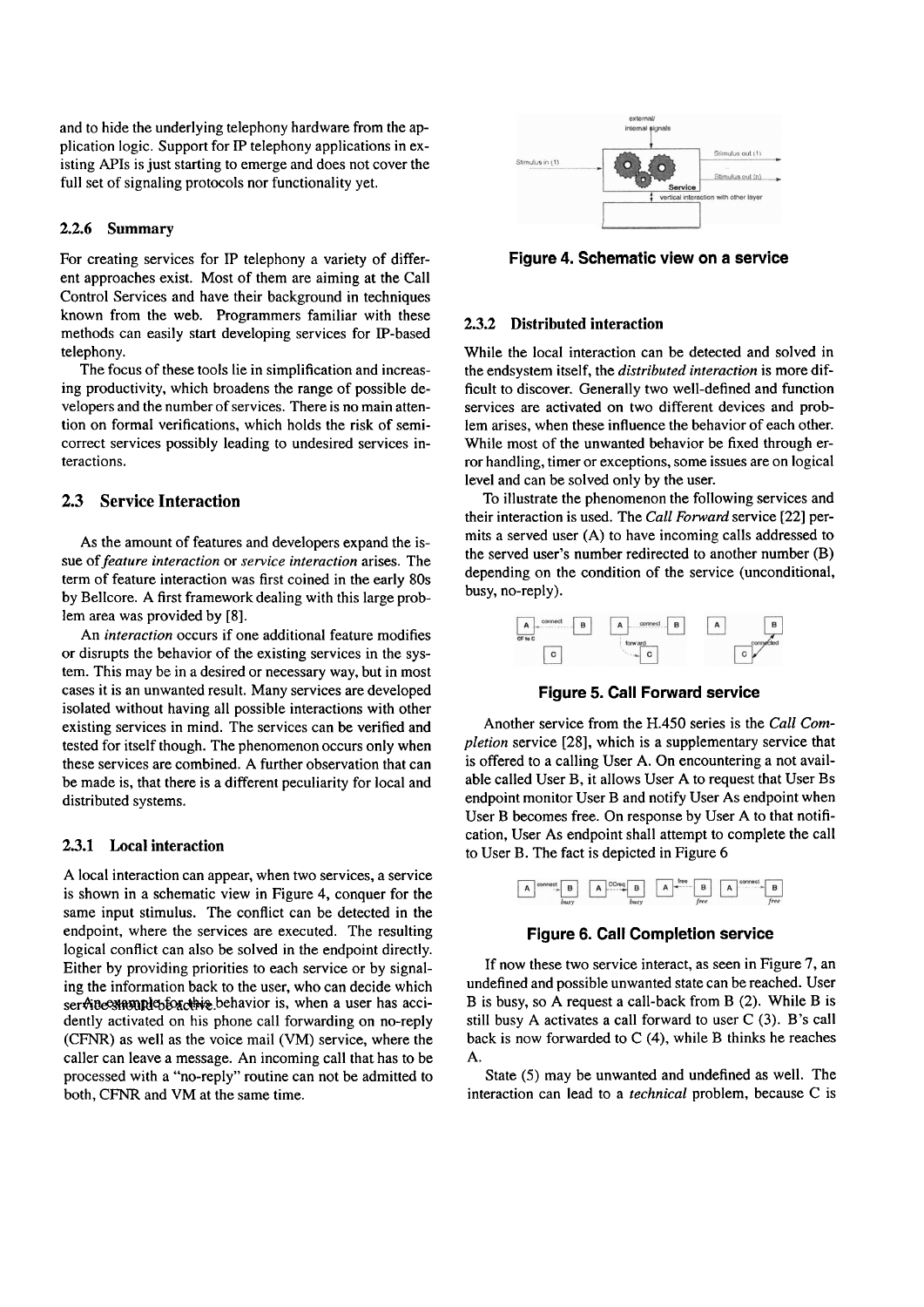and to hide the underlying telephony hardware from the application logic. Support for IP telephony applications in existing APIs is just starting to emerge and does not Cover the full set of signaling protocols nor functionality yet.

#### **2.2.6 Summary**

For creating services for IP telephony a variety of different approaches exist. Most of them are aiming at the Call Control Services and have their background in techniques known from the web. Programmers familiar with these methods can easily start developing services for IP-based telephony.

The focus of these tools lie in simplification and increasing productivity, which broadens the range of possible developers and the number of services. There is no main attention on formal verifications, which holds the risk of semicorrect services possibly leading to undesired services interactions.

#### **2.3 Service Interaction**

As the amount of features and developers expand the issue of *feature interaction* or *service interaction* arises. The term of feature interaction was first coined in the early 80s by Bellcore. A first framework dealing with this large problem area was provided by *[8].* 

An *interaction* occurs if one additional feature modifies or disrupts the behavior of the existing services in the system. This may be in a desired or necessary way, but in most cases it is an unwanted result. Many services are developed isolated without having all possible interactions with other existing services in mind. The services can be verified and tested for itself though. The phenomenon occurs only when these services are combined. A further observation that can be made is, that there is a different peculiarity for local and distributed systems.

#### **2.3.1 Local interaction**

A local interaction can appear, when two services, a service is shown in a schematic view in Figure 4, conquer for the same input stimulus. The conflict can be detected in the endpoint, where the services are executed. The resulting logical conflict can also be solved in the endpoint directly. Either by providing priorities to each service or by signaling the information back to the user, who can decide which ser Mue annual to backing behavior is, when a user has accidently activated on his phone call forwarding on no-reply (CFNR) as well as the voice mail (VM) service, where the caller can leave a message. An incoming call that has to be processed with a "no-reply" routine can not be admitted to both, CFNR and VM at the same time.



**Figure 4. Schematic view on a service** 

#### **2.3.2 Distributed interaction**

While the local interaction can be detected and solved in the endsystem itself, the *distributed interaction* is more difficult to discover. Generally two well-defined and function services are activated on two different devices and problem arises, when these influence the behavior of each other. While most of the unwanted behavior be fixed through error handling, timer or exceptions, some issues are on logical level and can be solved only by the user.

To illustrate the phenomenon the following services and their interaction is used. The *Ca11 Forward* service *[22]* permits a served user (A) to have incoming calls addressed to the served user's number redirected to another number (B) depending on the condition of the service (unconditional, busy, no-reply).

| connect<br>B<br>Α | connect<br>B<br>Α | B<br>А |
|-------------------|-------------------|--------|
| CF to C<br>с      | forw ard<br>u     | с      |

**Figure 5. Call Forward service** 

Another service from the H.450 series is the *Ca11 Completion* service *[28],* which is a supplementary service that is offered to a calling User A. On encountering a not available called User B, it allows User A to request that User Bs endpoint monitor User B and notify User As endpoint when User B becomes free. On response by User A to that notification, User As endpoint shall attempt to complete the call to User B. The fact is depicted in Figure 6



**Figure 6. Call Completion service** 

If now these two service interact, as seen in Figure **7,** an undefined and possible unwanted state can be reached. User B is busy, so A request a call-back from B (2). While B is still busy A activates a call forward to user  $C(3)$ . B's call back is now forwarded to *C* (4), while B thinks he reaches A.

State (5) may be unwanted and undefined as well. The interaction can lead to a *technical* problem, because *C* is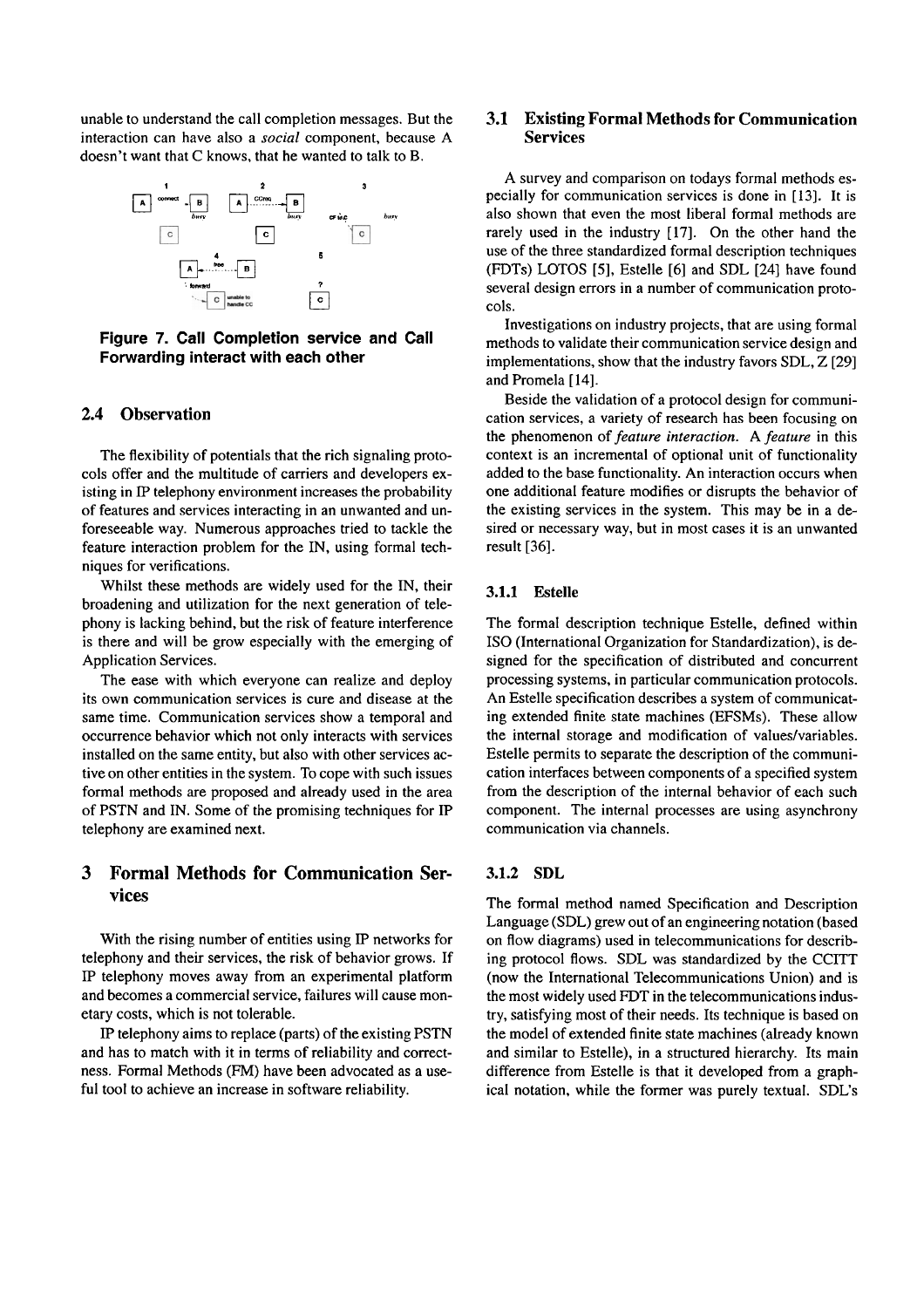unable to understand the call completion messages. But the interaction can have also a *social* component, because A doesn't Want that C knows, that he wanted to talk to B.



**Figure 7. Call Completion service and Call Forwarding interact with each other** 

#### **2.4 Observation**

The flexibility of potentials that the rich signaling protocols offer and the multitude of carriers and developers existing in **P** telephony environment increases the probability of features and services interacting in an unwanted and unforeseeable way. Numerous approaches tried to tackle the feature interaction problem for the IN, using formal techniques for verifications.

Whilst these methods are widely used for the IN, their broadening and utilization for the next generation of telephony is lacking behind, but the risk of feature interference is there and will be grow especially with the emerging of Application Services.

The ease with which everyone can realize and deploy its own communication services is cure and disease at the same time. Communication services show a temporal and occurrence behavior which not only interacts with services installed on the Same entity, but also with other services active on other entities in the system. To cope with such issues formal methods are proposed and already used in the area of PSTN and IN. Some of the promising techniques for IP telephony are examined next.

# **3 Formal Methods for Communication Services**

With the rising number of entities using **IP** networks for telephony and their services, the risk of behavior grows. If **IP** telephony moves away from an experimental platform and becomes a commercial service, failures will cause monetary costs, which is not tolerable.

**iP** telephony aims to replace (parts) of the existing PSTN and has to match with it in terms of reliability and correctness. Formal Methods (FM) have been advocated as a useful tool to achieve an increase in software reliability.

# **3.1 Existing Formal Methods for Communication Services**

A survey and comparison on todays formal methods especially for comrnunication services is done in **[13].** It is also shown that even the most liberal formal methods are rarely used in the industry [17]. On the other hand the use of the three standardized formal description techniques (FDTs) LOTOS [5], Estelle [6] and SDL [24] have found several design errors in a number of communication protocols.

Investigations on industry projects, that are using formal methods to validate their communication service design and implementations, show that the industry favors SDL, Z [29] and Promela [14].

Beside the validation of a protocol design for communication services, a variety of research has been focusing on the phenomenon of *feature interaction.* A *feature* in this context is an incremental of optional unit of functionality added to the base functionality. An interaction occurs when one additional feature modifies or disrupts the behavior of the existing services in the system. This may be in a desired or necessary way, but in most cases it is an unwanted result [36].

#### **3.1.1 Estelle**

The formal description technique Estelle, defined within ISO (International Organization for Standardization), is designed for the specification of distributed and concurrent processing systems, in particular communication protocols. An Estelle specification describes a system of communicating extended finite state machines (EFSMs). These allow the internal storage and modification of values/variables. Estelle permits to separate the description of the communication interfaces between components of a specified system from the description of the internal behavior of each such component. The internal processes are using asynchrony communication via channels.

### **3.1.2 SDL**

The formal method named Specification and Description Language (SDL) grew out of an engineering notation (based on flow diagrams) used in telecommunications for describing protocol flows. SDL was standardized by the CCITT (now the International Telecommunications Union) and is the most widely used FDT in the telecommunications industry, satisfying most of their needs. Its technique is based on the model of extended finite state machines (already known and similar to Estelle), in a structured hierarchy. Its main difference from Estelle is that it developed from a graphical notation, while the former was purely textual. SDL's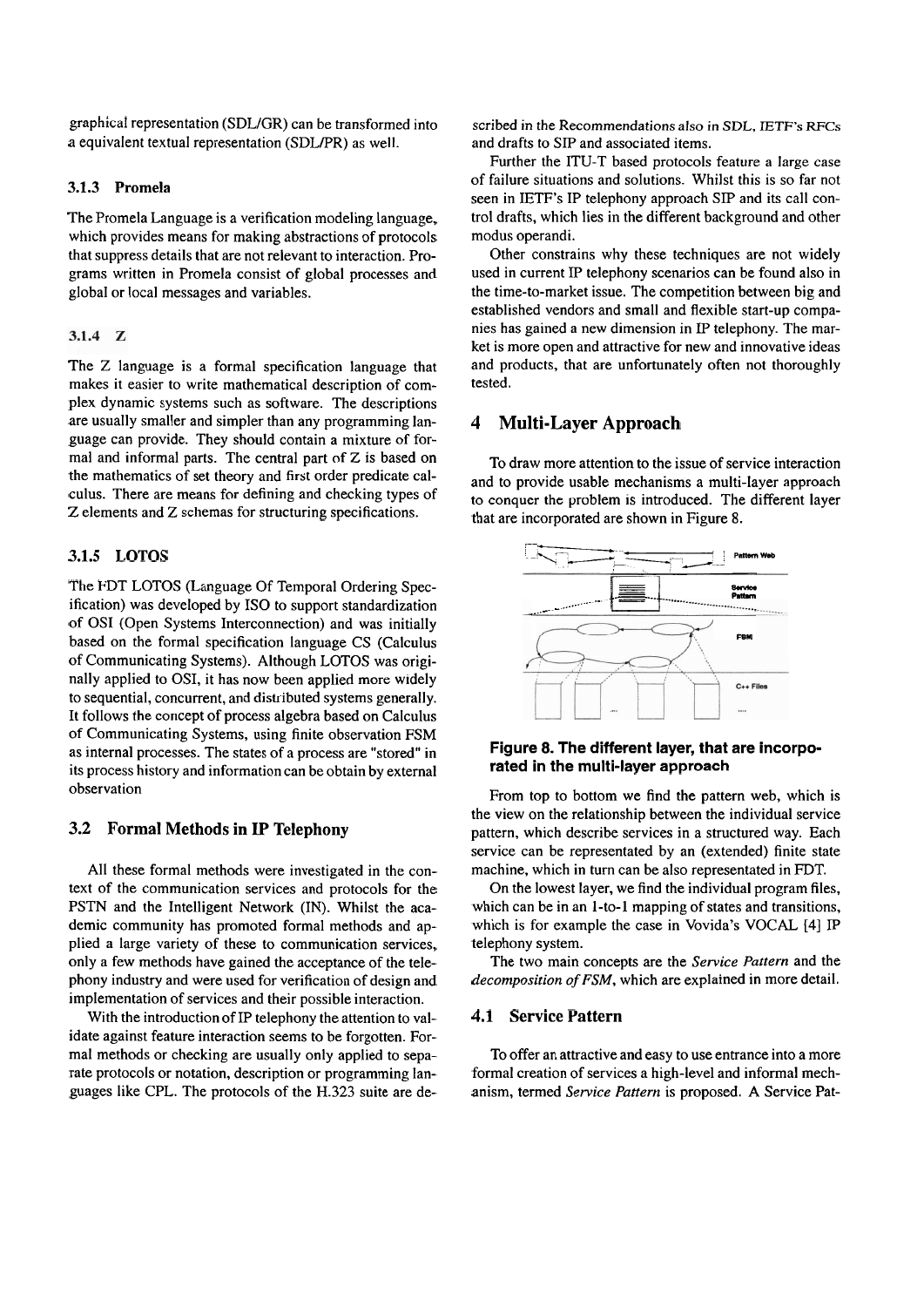graphical representation (SDLJGR) can be transformed into a equivalent textual representation (SDLPR) as well.

### **3.1.3 Promela**

The Promela Language is a verification modeling language, which provides means for making abstractions of protocols that suppress details that are not relevant to interaction. Programs written in Promela consist of global processes and global or local messages and variables.

### 3.1.4  $Z$

The Z language is a formal specification language that makes it easier to write mathematical description of complex dynamic systems such as software. The descriptions are usually smaller and simpler than any programming language can provide. They should contain a mixture of formal and informal parts. The central part of  $Z$  is based on the mathematics of set theory and first order predicate calculus. There are means for defining and checking types of Z elements and Z schemas for structuring specifications.

#### **3.1.5 LOTOS**

The FDT LOTOS (Language Of Temporal Ordering Specification) was developed by ISO to Support standardization of OS1 (Open Systems Interconnection) and was initially based on the formal specification language CS (Calculus of Communicating Systems). Although LOTOS was originally applied to OSI, it has now been applied more widely to sequential, concurrent, and distributed systems generally. It follows the concept of process algebra based on Calculus of Communicating Systems, using finite observation FSM as internal processes. The states of a process are "stored" in its process history and information can be obtain by external observation

### **3.2 Formal Methods in IP Telephony**

All these formal methods were investigated in the context of the communication services and protocols for the PSTN and the Intelligent Network (IN). Whilst the academic community has promoted formal methods and applied a large variety of these to communication services, only a few methods have gained the acceptance of the telephony industry and were used for verification of design and implementation of services and their possible interaction.

With the introduction of IP telephony the attention to validate against feature interaction seems to be forgotten. Formal methods or checking are usually only applied to separate protocols or notation, description or programming languages like CPL. The protocols of the H.323 suite are described in the Recommendations also in SDL, IETF's **RFCs**  and drafts to SIP and associated items.

Further the ITU-T based protocols feature a large case of failure situations and solutions. Whilst this is so far not seen in IETF's IP telephony approach SIP and its call control drafts, which lies in the different background and other modus operandi.

Other constrains why these techniques are not widely used in current IP telephony Scenarios can be found also in the time-to-market issue. The competition between big and established vendors and small and flexible start-up companies has gained a new dimension in IP telephony. The market is more Open and attractive for new and innovative ideas and products, that are unfortunately often not thoroughly tested.

# **4 Multi-Layer Approach**

To draw more attention to the issue of service interaction to conquer the problem is introduced. The different layer



### **Figure 8. The different layer, that are incorporated in the multi-layer approach**

From top to bottom we find the pattern web, which is the view on the relationship between the individual service pattern, which describe services in a structured way. Each service can be representated by an (extended) finite state machine, which in turn can be also representated in FDT.

On the lowest layer, we find the individual program files, which can be in an 1-to-1 mapping of states and transitions, which is for example the case in Vovida's VOCAL [4] IP telephony System.

The two main concepts are the *Service Pattern* and the *decomposition of FSM,* which are explained in more detail.

#### **4.1 Service Pattern**

To offer an attractive and easy to use entrance into a more formal creation of services a high-level and informal mechanism, termed *Service Pattern* is proposed. *A* Service Pat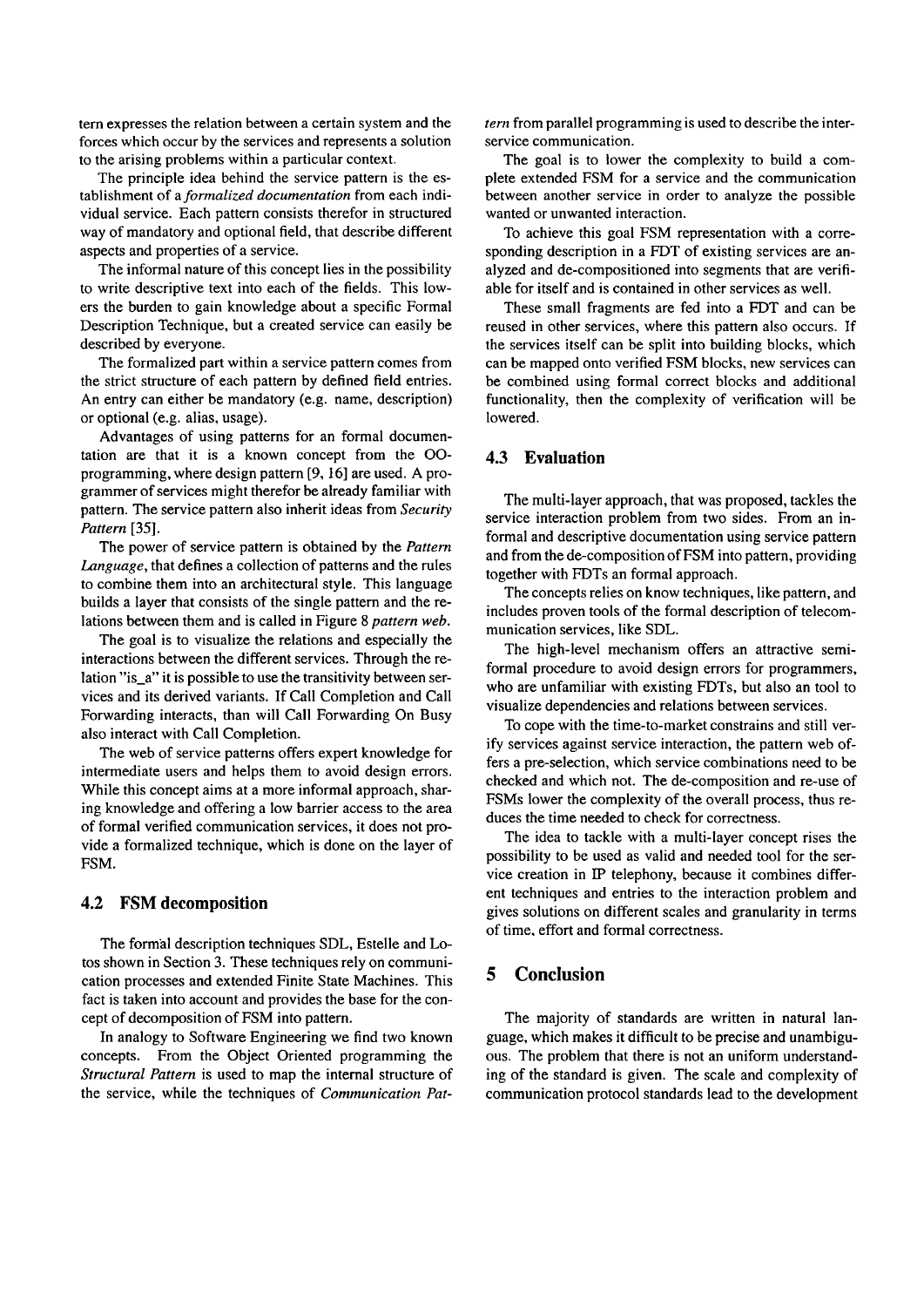tern expresses the relation between a certain system and the forces which occur by the services and represents a solution to the arising problems within a particular context.

The principle idea behind the service pattern is the establishment of a *formalized documentation* from each individual service. Each pattern consists therefor in structured way of mandatory and optional field, that describe different aspects and properties of a service.

The informal nature of this concept lies in the possibility to write descriptive text into each of the fields. This lowers the burden to gain knowledge about a specific Formal Description Technique, but a created service can easily be described by everyone.

The formalized part within a service pattern comes from the strict structure of each pattern by defined field entries. An entry can either be mandatory (e.g. name, description) or optional (e.g. alias, usage).

Advantages of using patterns for an formal documentation are that it is a known concept from the 00 programming, where design pattern **[9, 161** are used. A programmer of services might therefor be already farniliar with pattern. The service pattern also inherit ideas from *Security Pattern* **[35].** 

The power of service pattern is obtained by the *Pattern Language*, that defines a collection of patterns and the rules to combine them into an architectural style. This language builds a layer that consists of the single pattern and the relations between them and is called in Figure 8 *pattern web.* 

The goal is to visualize the relations and especially the interactions between the different services. Through the relation "is\_a" it is possible to use the transitivity between services and its derived variants. If Call Completion and Call Forwarding interacts, than will Call Forwarding On Busy also interact with Call Completion.

The web of service patterns offers expert knowledge for intermediate users and helps them to avoid design errors. While this concept aims at a more informal approach, sharing knowledge and offering a low barrier access to the area of formal verified communication services, it does not provide a formalized technique, which is done on the layer of FSM.

# **4.2 FSM decomposition**

The formal description techniques SDL, Estelle and Lotos shown in Section **3.** These techniques rely on communication processes and extended Finite State Machines. This fact is taken into account and provides the base for the concept of decomposition of FSM into pattern.

In analogy to Software Engineering we find two known concepts. From the Object Oriented programming the *Structural Pattern* is used to map the internal structure of the service, while the techniques of *Communication Pat-* *tern* from parallel programming is used to describe the interservice communication.

The goal is to lower the complexity to build a complete extended FSM for a service and the communication between another service in order to analyze the possible wanted or unwanted interaction.

To achieve this goal FSM representation with a corresponding description in a FDT of existing services are analyzed and de-compositioned into segments that are verifiable for itself and is contained in other services as well.

These small fragments are fed into a FDT and can be reused in other services, where this pattern also occurs. If the services itself can be split into building blocks, which can be mapped onto verified FSM blocks, new services can be combined using formal correct blocks and additional functionality, then the complexity of verification will be lowered.

# **4.3 Evaluation**

The multi-layer approach, that was proposed, tackles the service interaction problem from two sides. From an informal and descriptive documentation using service pattern and from the de-composition of FSM into pattern, providing together with FDTs an formal approach.

The concepts relies on know techniques, like pattern, and includes proven tools of the formal description of telecommunication services, like SDL.

The high-level mechanism offers an attractive semiformal procedure to avoid design errors for programmers, who are unfamiliar with existing FDTs, but also an tool to visualize dependencies and relations between services.

To cope with the time-to-market constrains and still verify services against service interaction, the pattern web offers a pre-selection, which service combinations need to be checked and which not. The de-composition and re-use of FSMs lower the complexity of the overall process, thus reduces the time needed to check for correctness.

The idea to tackle with a multi-layer concept rises the possibility to be used as valid and needed tool for the service creation in IP telephony, because it combines different techniques and entries to the interaction problem and gives solutions on different scales and granularity in terms of time, effort and formal correctness.

# **5 Conclusion**

The majority of standards are written in natural language, which makes it difficult to be precise and unambiguous. The problem that there is not an uniform understanding of the standard is given. The scale and complexity of communication protocol standards lead to the development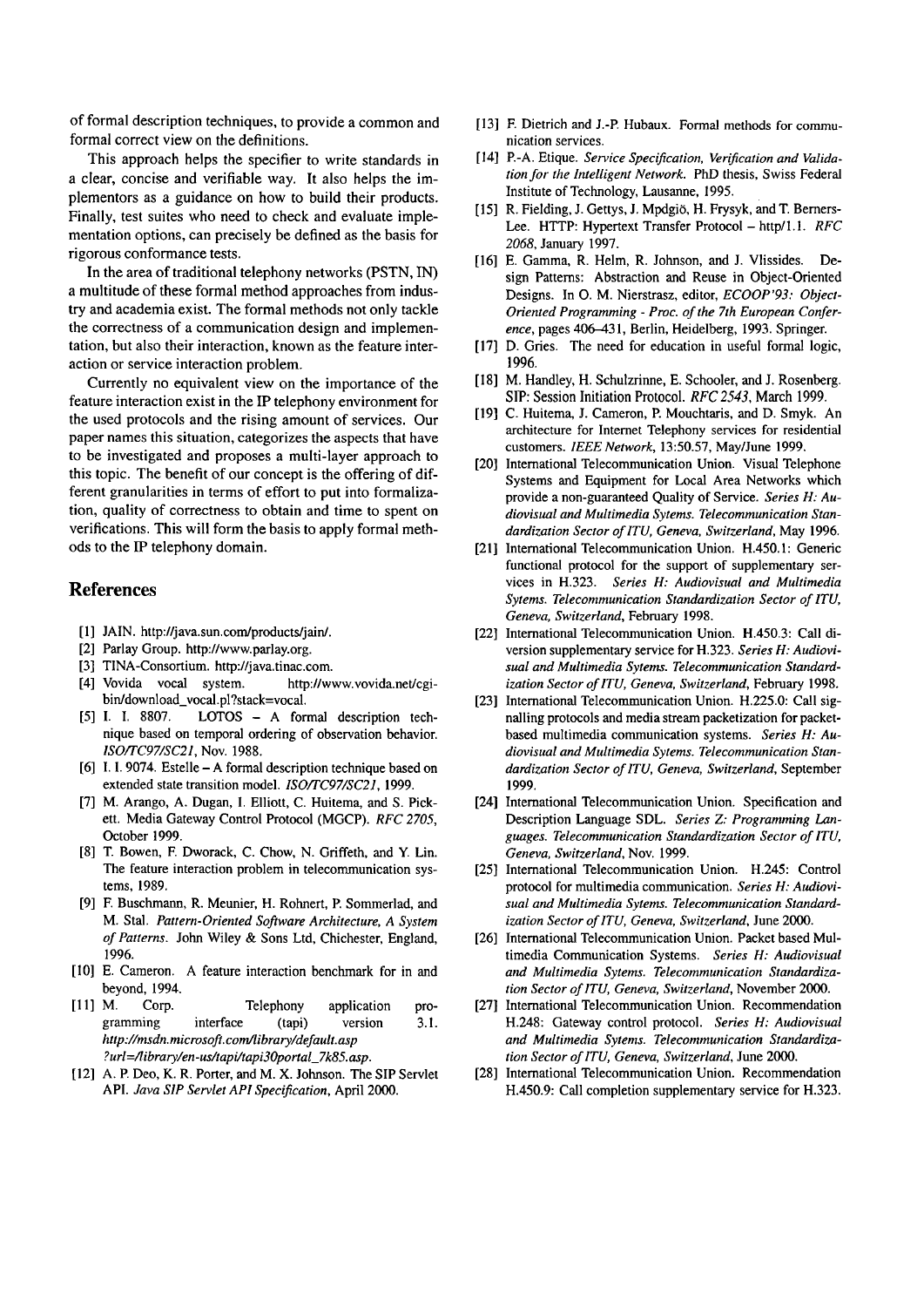of formal description techniques, to provide a common and formal correct view on the definitions.

This approach helps the specifier to write standards in a clear, concise and verifiable way. It also helps the implementors as a guidance on how to build their products. Finally, test suites who need to check and evaluate implementation options, can precisely be defined as the basis for rigorous conformance tests.

In the area of traditional telephony networks (PSTN, IN) a multitude of these formal method approaches from industry and academia exist. The formal methods not only tackle the correctness of a communication design and implementation, but also their interaction, known as the feature interaction or service interaction problem.

Currently no equivalent view on the importance of the feature interaction exist in the IP telephony environment for the used protocols and the rising amount of services. Our paper names this situation, categorizes the aspects that have to be investigated and proposes a multi-layer approach to this topic. The benefit of our concept is the offering of different granularities in terms of effort to put into formalization, quality of correctness to obtain and time to spent on verifications. This will form the basis to apply formal methods to the IP telephony domain.

### **References**

- [1] JAIN. http://java.sun.com/products/jain/.
- [2] Parlay Group. http://www.parlay.org.
- [3] TINA-Consortium. http://java.tinac.com.
- [4] Vovida vocal system. **http://www.vovida.net/cgibin/download~vocal.pl?stack=vocal.**
- [5] I. I. 8807. LOTOS A formal description technique based on temporal ordering of observation behavior. *ISO/TC97/SC21,* Nov. 1988.
- [6] I. I. 9074. Estelle A formal description technique based on extended state transition model. *ISO/TC97/SC21,* 1999.
- [7] M. Arango, A. Dugan, I. Elliott, C. Huitema, and S. Pickett. Media Gateway Control Protocol (MGCP). *RFC 2705,*  October 1999.
- [8] T. Bowen, F. Dworack, C. Chow, N. Griffeth, and Y. Lin. The feature interaction problem in telecommunication systems, 1989.
- [9] F. Buschmann, R. Meunier, H. Rohnert, P. Sommerlad, and M. Stal. *Pattern-Oriented Software Architecrure, A System of Patterns.* John Wiley & Sons Ltd, Chichester, England, 1996.
- [10] E. Cameron. A feature interaction benchmark for in and beyond, 1994.
- [ll] M. Corp. Telephony application programming interface (tapi) version 3.1. **http://msdn.microsoft.com/library/default.asp ?url=/library/en-ur/rapi/tapi3Oporral-7k85.asp.**
- [12] A. P. Deo, K. R. Porter, and M. X. Johnson. The SIP Servlet API. *Java SIP Servlet API Specifiation,* April 2000.
- [13] F. Dietrich and J.-P. Hubaux. Formal methods for communication services.
- [14] P.-A. Etique. Service Specification, Verification and Valida*tion for the Intelligent Network.* PhD thesis, Swiss Federal Institute of Technology, Lausanne, 1995.
- [15] R. Fielding, J. Gettys, J. Mpdgiö, H. Frysyk, and T. Berners-Lee. HTTP: Hypertext Transfer Protocol - http/1.1. *RFC 2068,* January 1997.
- [16] E. Gamma, R. Helm, R. Johnson, and J. Vlissides. Design Patterns: Abstraction and Reuse in Object-Oriented Designs. In 0. M. Nierstrasz, editor, *ECOOP'93: Object-Oriented Programming* - *Proc. of the 7th European Confer*ence, pages 406-431, Berlin, Heidelberg, 1993. Springer.
- [17] D. Gries. The need for education in useful formal logic, 1996.
- [18] M. Handley, H. Schulzrinne, E. Schooler, and J. Rosenberg. SIP: Session Initiation Protocol. *RFC 2543*, March 1999.
- [I91 C. Huitema, J. Cameron, P. Mouchtaris, and D. Smyk. An architecture for Internet Telephony services for residential customers. *IEEE Network,* 13:50.57, MayIJune 1999.
- [20] International Telecommunication Union. Visual Telephone Systems and Equipment for **Local** Area Networks which provide a non-guaranteed Quality of Service. *Series H: Audiovisual and Multimedia Sytems. Telecommunication Stanaizrdizarion Sector of ITU, Geneva, Switzerland,* May 1996.
- [21] International Telecommunication Union. H.450.1: Generic functional protocol for the support of supplementary services in H.323. *Series H: Audiovisual and Multimedia Syrern. Telecommunication Standardization Sector of ITU. Geneva, Switzerland,* February 1998.
- [22] International Telecommunication Union. H.450.3: Call diversion supplementary service for H.323. *Series H: Audiovisual and Multimedia Sytems. Telecommunication Standardization Sector ofITU, Geneva, Switzerland,* February 1998.
- [23] International Telecommunication Union. H.225.0: Call signalling protocols and media stream packetization for packetbased multimedia communication Systems. *Series H: Audiovisual and Multimedia Syrerns. Telecommunication Slanaizrdization Sector of lTU, Geneva, Switzerland,* September 1999.
- [24] International Telecommunication Union. Specification and Description Language SDL. *Series* Z: *Programming Languages. Telecommunication Srandardization Sector of ITU, Geneva, Switzerland,* Nov. 1999.
- [25] International Telecommunication Union. H.245: Control protocol for multimedia comrnunication. *Series H: Audiovisual and Multimedia Sytems. Telecommunication Standardization Sector of ITU, Geneva, Switzerland,* June 2000.
- [26] International Telecommunication Union. Packet based Multimedia Communication Systems. *Series H: Audiovisual arld Multimedia Sytems. Telecommunicarion Standardizarion Sector of ]TU, Geneva, Switzerland,* November 2000.
- [27] International Telecommunication Union. Recommendation H.248: Gateway control protocol. *Series H: Audiovisual and Multimedia Sytern. Telecommunicarion Standardization Secror of ]TU, Geneva, Switzerland,* June 2000.
- [28] International Telecommunication Union. Recommendation H.450.9: Call completion supplementary service for H.323.